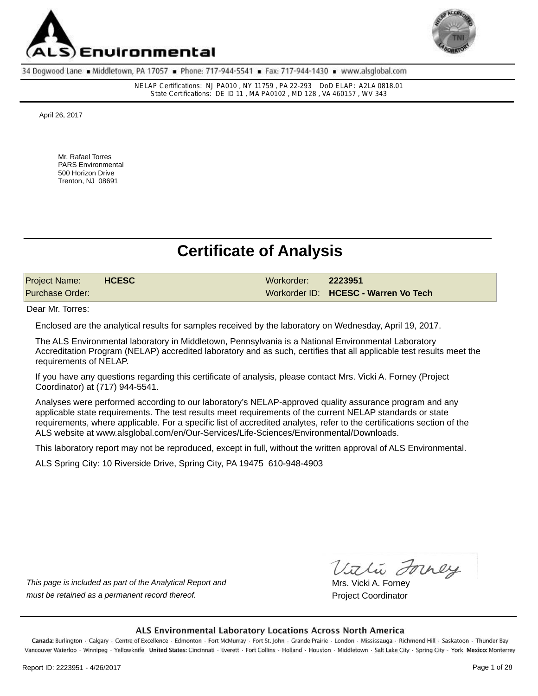



NELAP Certifications: NJ PA010 , NY 11759 , PA 22-293 DoD ELAP: A2LA 0818.01 State Certifications: DE ID 11 , MA PA0102 , MD 128 , VA 460157 , WV 343

April 26, 2017

Mr. Rafael Torres PARS Environmental 500 Horizon Drive Trenton, NJ 08691

# **Certificate of Analysis**

| <b>Project Name:</b> | <b>HCESC</b> | Workorder: 2223951 |                                      |
|----------------------|--------------|--------------------|--------------------------------------|
| Purchase Order:      |              |                    | Workorder ID: HCESC - Warren Vo Tech |

Dear Mr. Torres:

Enclosed are the analytical results for samples received by the laboratory on Wednesday, April 19, 2017.

The ALS Environmental laboratory in Middletown, Pennsylvania is a National Environmental Laboratory Accreditation Program (NELAP) accredited laboratory and as such, certifies that all applicable test results meet the requirements of NELAP.

If you have any questions regarding this certificate of analysis, please contact Mrs. Vicki A. Forney (Project Coordinator) at (717) 944-5541.

Analyses were performed according to our laboratory's NELAP-approved quality assurance program and any applicable state requirements. The test results meet requirements of the current NELAP standards or state requirements, where applicable. For a specific list of accredited analytes, refer to the certifications section of the ALS website at www.alsglobal.com/en/Our-Services/Life-Sciences/Environmental/Downloads.

This laboratory report may not be reproduced, except in full, without the written approval of ALS Environmental.

ALS Spring City: 10 Riverside Drive, Spring City, PA 19475 610-948-4903

*This page is included as part of the Analytical Report and* must be retained as a permanent record thereof. **Project Coordinator** Project Coordinator

Vithi Forney

Mrs. Vicki A. Forney

#### ALS Environmental Laboratory Locations Across North America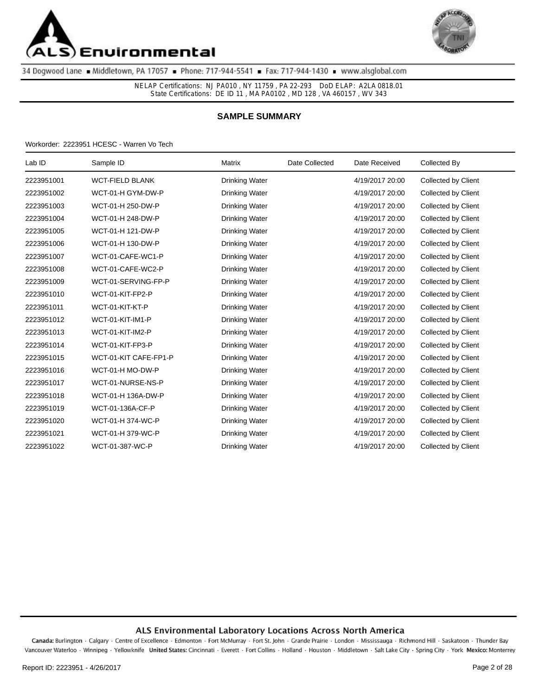



NELAP Certifications: NJ PA010 , NY 11759 , PA 22-293 DoD ELAP: A2LA 0818.01 State Certifications: DE ID 11 , MA PA0102 , MD 128 , VA 460157 , WV 343

### **SAMPLE SUMMARY**

Workorder: 2223951 HCESC - Warren Vo Tech

| Lab ID     | Sample ID              | Matrix                | Date Collected | Date Received   | Collected By        |
|------------|------------------------|-----------------------|----------------|-----------------|---------------------|
| 2223951001 | <b>WCT-FIELD BLANK</b> | <b>Drinking Water</b> |                | 4/19/2017 20:00 | Collected by Client |
| 2223951002 | WCT-01-H GYM-DW-P      | <b>Drinking Water</b> |                | 4/19/2017 20:00 | Collected by Client |
| 2223951003 | WCT-01-H 250-DW-P      | <b>Drinking Water</b> |                | 4/19/2017 20:00 | Collected by Client |
| 2223951004 | WCT-01-H 248-DW-P      | <b>Drinking Water</b> |                | 4/19/2017 20:00 | Collected by Client |
| 2223951005 | WCT-01-H 121-DW-P      | <b>Drinking Water</b> |                | 4/19/2017 20:00 | Collected by Client |
| 2223951006 | WCT-01-H 130-DW-P      | <b>Drinking Water</b> |                | 4/19/2017 20:00 | Collected by Client |
| 2223951007 | WCT-01-CAFE-WC1-P      | <b>Drinking Water</b> |                | 4/19/2017 20:00 | Collected by Client |
| 2223951008 | WCT-01-CAFE-WC2-P      | Drinking Water        |                | 4/19/2017 20:00 | Collected by Client |
| 2223951009 | WCT-01-SERVING-FP-P    | <b>Drinking Water</b> |                | 4/19/2017 20:00 | Collected by Client |
| 2223951010 | WCT-01-KIT-FP2-P       | <b>Drinking Water</b> |                | 4/19/2017 20:00 | Collected by Client |
| 2223951011 | WCT-01-KIT-KT-P        | <b>Drinking Water</b> |                | 4/19/2017 20:00 | Collected by Client |
| 2223951012 | WCT-01-KIT-IM1-P       | <b>Drinking Water</b> |                | 4/19/2017 20:00 | Collected by Client |
| 2223951013 | WCT-01-KIT-IM2-P       | <b>Drinking Water</b> |                | 4/19/2017 20:00 | Collected by Client |
| 2223951014 | WCT-01-KIT-FP3-P       | <b>Drinking Water</b> |                | 4/19/2017 20:00 | Collected by Client |
| 2223951015 | WCT-01-KIT CAFE-FP1-P  | <b>Drinking Water</b> |                | 4/19/2017 20:00 | Collected by Client |
| 2223951016 | WCT-01-H MO-DW-P       | <b>Drinking Water</b> |                | 4/19/2017 20:00 | Collected by Client |
| 2223951017 | WCT-01-NURSE-NS-P      | <b>Drinking Water</b> |                | 4/19/2017 20:00 | Collected by Client |
| 2223951018 | WCT-01-H 136A-DW-P     | <b>Drinking Water</b> |                | 4/19/2017 20:00 | Collected by Client |
| 2223951019 | WCT-01-136A-CF-P       | <b>Drinking Water</b> |                | 4/19/2017 20:00 | Collected by Client |
| 2223951020 | WCT-01-H 374-WC-P      | Drinking Water        |                | 4/19/2017 20:00 | Collected by Client |
| 2223951021 | WCT-01-H 379-WC-P      | <b>Drinking Water</b> |                | 4/19/2017 20:00 | Collected by Client |
| 2223951022 | WCT-01-387-WC-P        | <b>Drinking Water</b> |                | 4/19/2017 20:00 | Collected by Client |
|            |                        |                       |                |                 |                     |

#### ALS Environmental Laboratory Locations Across North America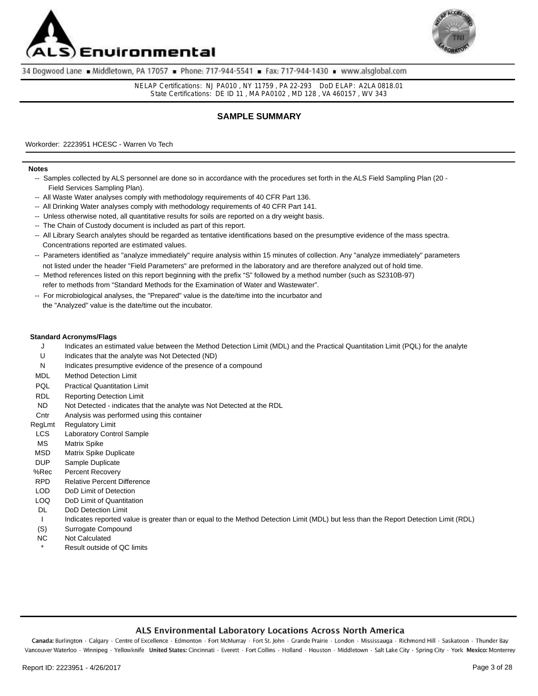



NELAP Certifications: NJ PA010 , NY 11759 , PA 22-293 DoD ELAP: A2LA 0818.01 State Certifications: DE ID 11 , MA PA0102 , MD 128 , VA 460157 , WV 343

### **SAMPLE SUMMARY**

Workorder: 2223951 HCESC - Warren Vo Tech

#### **Notes**

- -- Samples collected by ALS personnel are done so in accordance with the procedures set forth in the ALS Field Sampling Plan (20 Field Services Sampling Plan).
- -- All Waste Water analyses comply with methodology requirements of 40 CFR Part 136.
- -- All Drinking Water analyses comply with methodology requirements of 40 CFR Part 141.
- -- Unless otherwise noted, all quantitative results for soils are reported on a dry weight basis.
- -- The Chain of Custody document is included as part of this report.
- -- All Library Search analytes should be regarded as tentative identifications based on the presumptive evidence of the mass spectra. Concentrations reported are estimated values.
- -- Parameters identified as "analyze immediately" require analysis within 15 minutes of collection. Any "analyze immediately" parameters not listed under the header "Field Parameters" are preformed in the laboratory and are therefore analyzed out of hold time.
- -- Method references listed on this report beginning with the prefix "S" followed by a method number (such as S2310B-97)
- refer to methods from "Standard Methods for the Examination of Water and Wastewater".
- -- For microbiological analyses, the "Prepared" value is the date/time into the incurbator and the "Analyzed" value is the date/time out the incubator.

#### **Standard Acronyms/Flags**

- Indicates an estimated value between the Method Detection Limit (MDL) and the Practical Quantitation Limit (PQL) for the analyte  $\mathbf{J}$
- Indicates that the analyte was Not Detected (ND) U
- N Indicates presumptive evidence of the presence of a compound
- Method Detection Limit MDL
- Practical Quantitation Limit PQL
- Reporting Detection Limit RDL
- Not Detected indicates that the analyte was Not Detected at the RDL ND
- Analysis was performed using this container **Cntr**
- Regulatory Limit RegLmt
- Laboratory Control Sample LCS
- Matrix Spike MS
- Matrix Spike Duplicate MSD
- Sample Duplicate DUP
- Percent Recovery %Rec
- RPD Relative Percent Difference
- LOD DoD Limit of Detection
- LOQ DoD Limit of Quantitation
- DL DoD Detection Limit
- I Indicates reported value is greater than or equal to the Method Detection Limit (MDL) but less than the Report Detection Limit (RDL)
- (S) Surrogate Compound
- NC Not Calculated
- Result outside of QC limits

#### ALS Environmental Laboratory Locations Across North America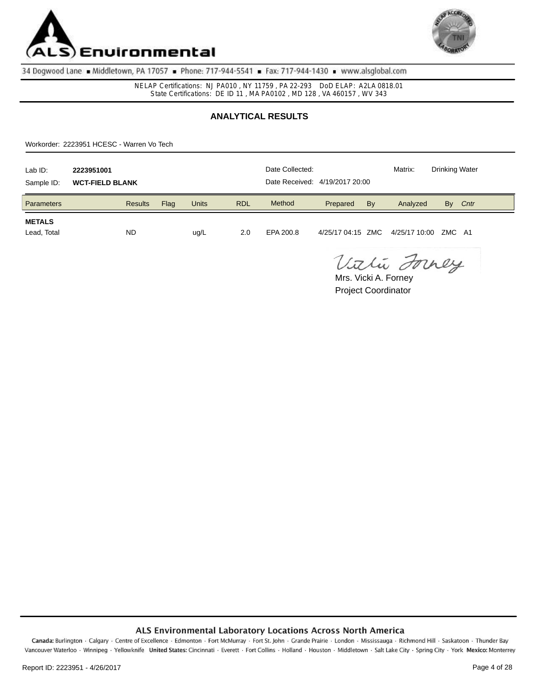



NELAP Certifications: NJ PA010 , NY 11759 , PA 22-293 DoD ELAP: A2LA 0818.01 State Certifications: DE ID 11 , MA PA0102 , MD 128 , VA 460157 , WV 343

# **ANALYTICAL RESULTS**

Workorder: 2223951 HCESC - Warren Vo Tech

| Lab ID:<br>Sample ID:        | 2223951001<br><b>WCT-FIELD BLANK</b> |      |              |            | Date Collected:<br>Date Received: 4/19/2017 20:00 |          |    | Matrix:                                  | <b>Drinking Water</b> |      |
|------------------------------|--------------------------------------|------|--------------|------------|---------------------------------------------------|----------|----|------------------------------------------|-----------------------|------|
| <b>Parameters</b>            | <b>Results</b>                       | Flag | <b>Units</b> | <b>RDL</b> | Method                                            | Prepared | By | Analyzed                                 | By                    | Cntr |
| <b>METALS</b><br>Lead, Total | <b>ND</b>                            |      | ug/L         | 2.0        | EPA 200.8                                         |          |    | 4/25/17 04:15 ZMC  4/25/17 10:00 ZMC  A1 |                       |      |

Vithi Forney

Project Coordinator Mrs. Vicki A. Forney

#### ALS Environmental Laboratory Locations Across North America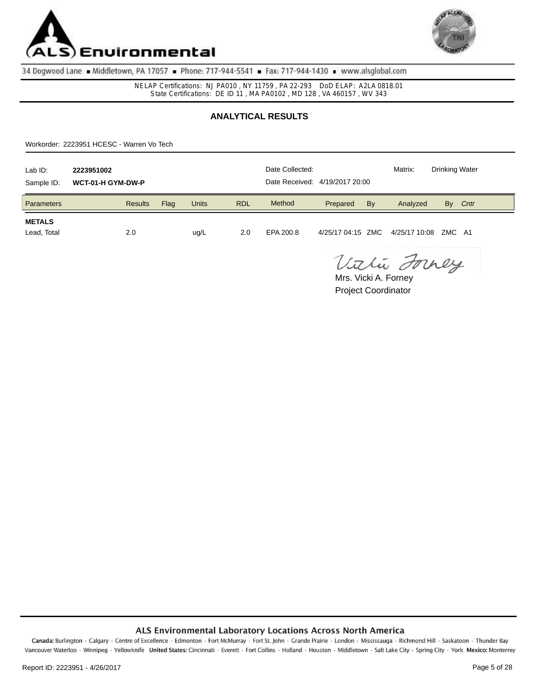



NELAP Certifications: NJ PA010 , NY 11759 , PA 22-293 DoD ELAP: A2LA 0818.01 State Certifications: DE ID 11 , MA PA0102 , MD 128 , VA 460157 , WV 343

# **ANALYTICAL RESULTS**

Workorder: 2223951 HCESC - Warren Vo Tech

| Lab ID:<br>Sample ID:        | 2223951002<br>WCT-01-H GYM-DW-P |      |              |            | Date Collected:<br>Date Received: 4/19/2017 20:00 |          |    | Matrix:                                  | <b>Drinking Water</b> |      |
|------------------------------|---------------------------------|------|--------------|------------|---------------------------------------------------|----------|----|------------------------------------------|-----------------------|------|
| <b>Parameters</b>            | <b>Results</b>                  | Flag | <b>Units</b> | <b>RDL</b> | Method                                            | Prepared | By | Analyzed                                 | By                    | Cntr |
| <b>METALS</b><br>Lead, Total | 2.0                             |      | ug/L         | 2.0        | EPA 200.8                                         |          |    | 4/25/17 04:15 ZMC  4/25/17 10:08 ZMC  A1 |                       |      |

Vithi Forney

Project Coordinator Mrs. Vicki A. Forney

#### ALS Environmental Laboratory Locations Across North America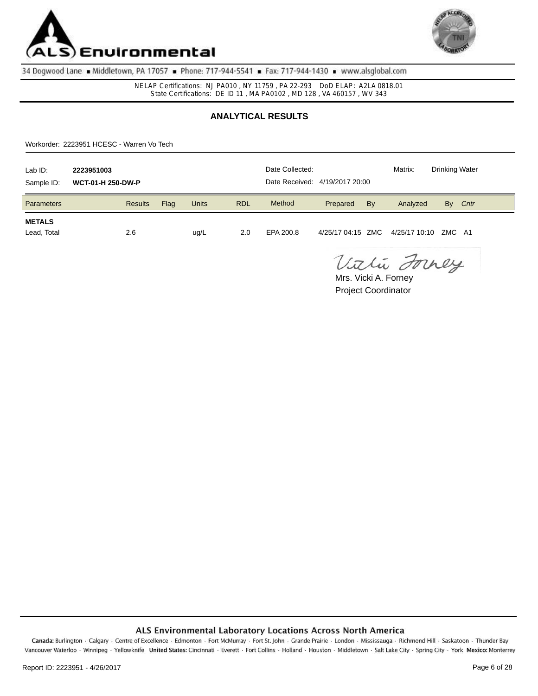



NELAP Certifications: NJ PA010 , NY 11759 , PA 22-293 DoD ELAP: A2LA 0818.01 State Certifications: DE ID 11 , MA PA0102 , MD 128 , VA 460157 , WV 343

# **ANALYTICAL RESULTS**

Workorder: 2223951 HCESC - Warren Vo Tech

| Lab ID:<br>Sample ID:        | 2223951003<br><b>WCT-01-H 250-DW-P</b> |      |              |            | Date Collected:<br>Date Received: 4/19/2017 20:00 |          |    | Matrix:                                | <b>Drinking Water</b> |      |
|------------------------------|----------------------------------------|------|--------------|------------|---------------------------------------------------|----------|----|----------------------------------------|-----------------------|------|
| <b>Parameters</b>            | <b>Results</b>                         | Flag | <b>Units</b> | <b>RDL</b> | Method                                            | Prepared | By | Analyzed                               | By                    | Cntr |
| <b>METALS</b><br>Lead, Total | 2.6                                    |      | ug/L         | 2.0        | EPA 200.8                                         |          |    | 4/25/17 04:15 ZMC 4/25/17 10:10 ZMC A1 |                       |      |

Vithi Forney

Project Coordinator Mrs. Vicki A. Forney

### ALS Environmental Laboratory Locations Across North America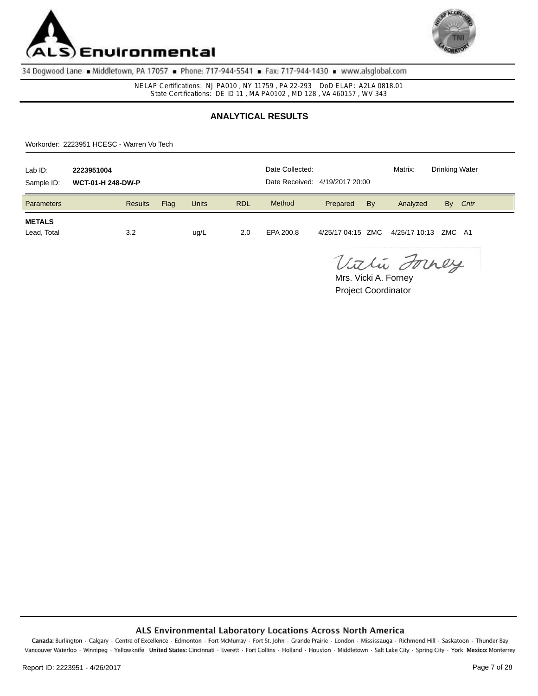



NELAP Certifications: NJ PA010 , NY 11759 , PA 22-293 DoD ELAP: A2LA 0818.01 State Certifications: DE ID 11 , MA PA0102 , MD 128 , VA 460157 , WV 343

# **ANALYTICAL RESULTS**

Workorder: 2223951 HCESC - Warren Vo Tech

| Lab ID:<br>Sample ID:        | 2223951004<br><b>WCT-01-H 248-DW-P</b> |      |              |            | Date Collected:<br>Date Received: 4/19/2017 20:00 |          |    | Matrix:                                | Drinking Water |      |
|------------------------------|----------------------------------------|------|--------------|------------|---------------------------------------------------|----------|----|----------------------------------------|----------------|------|
| Parameters                   | <b>Results</b>                         | Flag | <b>Units</b> | <b>RDL</b> | Method                                            | Prepared | By | Analyzed                               | By             | Cntr |
| <b>METALS</b><br>Lead, Total | 3.2                                    |      | ug/L         | 2.0        | EPA 200.8                                         |          |    | 4/25/17 04:15 ZMC 4/25/17 10:13 ZMC A1 |                |      |

Vithi Forney

Project Coordinator Mrs. Vicki A. Forney

#### ALS Environmental Laboratory Locations Across North America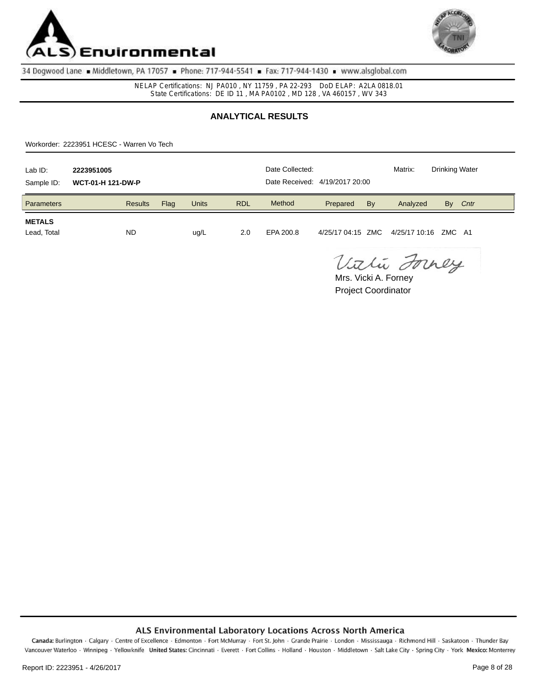



NELAP Certifications: NJ PA010 , NY 11759 , PA 22-293 DoD ELAP: A2LA 0818.01 State Certifications: DE ID 11 , MA PA0102 , MD 128 , VA 460157 , WV 343

# **ANALYTICAL RESULTS**

Workorder: 2223951 HCESC - Warren Vo Tech

| Lab ID:<br>Sample ID:        | 2223951005<br><b>WCT-01-H 121-DW-P</b> |      |              |            | Date Collected:<br>Date Received: 4/19/2017 20:00 |          |    | Matrix:                                | <b>Drinking Water</b> |  |
|------------------------------|----------------------------------------|------|--------------|------------|---------------------------------------------------|----------|----|----------------------------------------|-----------------------|--|
| <b>Parameters</b>            | <b>Results</b>                         | Flag | <b>Units</b> | <b>RDL</b> | Method                                            | Prepared | By | Analyzed                               | Cntr<br>By            |  |
| <b>METALS</b><br>Lead, Total | <b>ND</b>                              |      | ug/L         | 2.0        | EPA 200.8                                         |          |    | 4/25/17 04:15 ZMC 4/25/17 10:16 ZMC A1 |                       |  |

Vithi Forney

Project Coordinator Mrs. Vicki A. Forney

#### ALS Environmental Laboratory Locations Across North America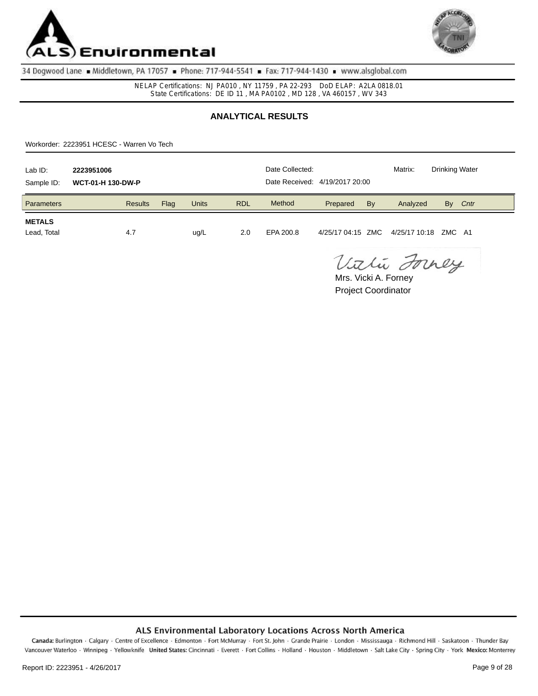



NELAP Certifications: NJ PA010 , NY 11759 , PA 22-293 DoD ELAP: A2LA 0818.01 State Certifications: DE ID 11 , MA PA0102 , MD 128 , VA 460157 , WV 343

# **ANALYTICAL RESULTS**

Workorder: 2223951 HCESC - Warren Vo Tech

| Lab ID:<br>Sample ID:        | 2223951006<br><b>WCT-01-H 130-DW-P</b> |      |              |            | Date Collected:<br>Date Received: 4/19/2017 20:00 |          |    | Matrix:                                | <b>Drinking Water</b> |      |
|------------------------------|----------------------------------------|------|--------------|------------|---------------------------------------------------|----------|----|----------------------------------------|-----------------------|------|
| <b>Parameters</b>            | <b>Results</b>                         | Flag | <b>Units</b> | <b>RDL</b> | Method                                            | Prepared | By | Analyzed                               | By                    | Cntr |
| <b>METALS</b><br>Lead, Total | 4.7                                    |      | ug/L         | 2.0        | EPA 200.8                                         |          |    | 4/25/17 04:15 ZMC 4/25/17 10:18 ZMC A1 |                       |      |

Vithi Forney

Project Coordinator Mrs. Vicki A. Forney

#### ALS Environmental Laboratory Locations Across North America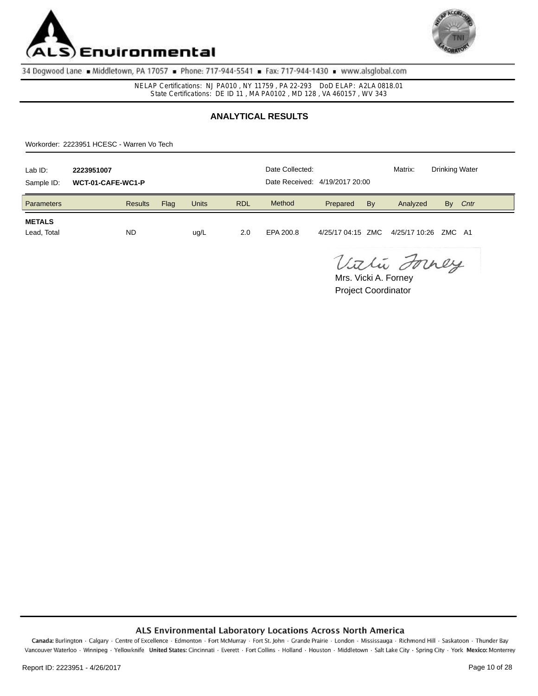



NELAP Certifications: NJ PA010 , NY 11759 , PA 22-293 DoD ELAP: A2LA 0818.01 State Certifications: DE ID 11 , MA PA0102 , MD 128 , VA 460157 , WV 343

# **ANALYTICAL RESULTS**

Workorder: 2223951 HCESC - Warren Vo Tech

| Lab ID:<br>Sample ID:        | 2223951007<br>WCT-01-CAFE-WC1-P |      |              |            | Date Collected:<br>Date Received: 4/19/2017 20:00 |          |    | Matrix:                                | <b>Drinking Water</b> |      |
|------------------------------|---------------------------------|------|--------------|------------|---------------------------------------------------|----------|----|----------------------------------------|-----------------------|------|
| Parameters                   | <b>Results</b>                  | Flag | <b>Units</b> | <b>RDL</b> | Method                                            | Prepared | By | Analyzed                               | By                    | Cntr |
| <b>METALS</b><br>Lead, Total | <b>ND</b>                       |      | ug/L         | 2.0        | EPA 200.8                                         |          |    | 4/25/17 04:15 ZMC 4/25/17 10:26 ZMC A1 |                       |      |

Vithi Forney

Project Coordinator Mrs. Vicki A. Forney

#### ALS Environmental Laboratory Locations Across North America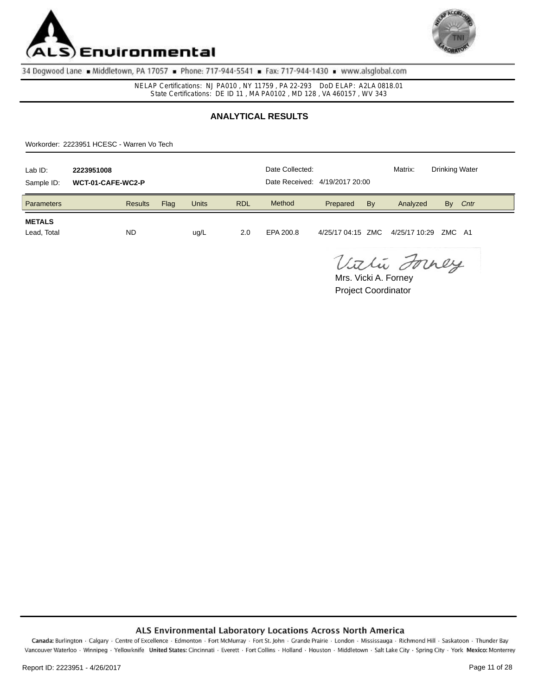



NELAP Certifications: NJ PA010 , NY 11759 , PA 22-293 DoD ELAP: A2LA 0818.01 State Certifications: DE ID 11 , MA PA0102 , MD 128 , VA 460157 , WV 343

# **ANALYTICAL RESULTS**

Workorder: 2223951 HCESC - Warren Vo Tech

| Lab ID:<br>Sample ID:        | 2223951008<br>WCT-01-CAFE-WC2-P |      |              |            | Date Collected:<br>Date Received: 4/19/2017 20:00 |          |    | Matrix:                                | <b>Drinking Water</b> |  |
|------------------------------|---------------------------------|------|--------------|------------|---------------------------------------------------|----------|----|----------------------------------------|-----------------------|--|
| Parameters                   | <b>Results</b>                  | Flag | <b>Units</b> | <b>RDL</b> | Method                                            | Prepared | By | Analyzed                               | Cntr<br>By            |  |
| <b>METALS</b><br>Lead, Total | <b>ND</b>                       |      | ug/L         | 2.0        | EPA 200.8                                         |          |    | 4/25/17 04:15 ZMC 4/25/17 10:29 ZMC A1 |                       |  |

Vithi Forney

Project Coordinator Mrs. Vicki A. Forney

### ALS Environmental Laboratory Locations Across North America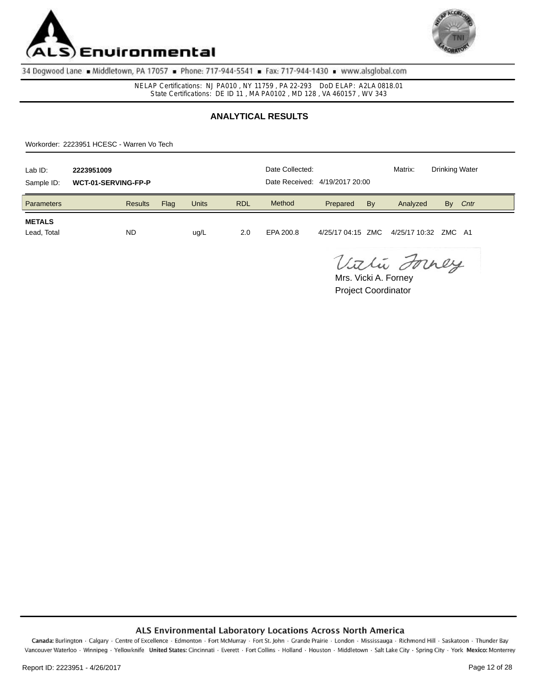



NELAP Certifications: NJ PA010 , NY 11759 , PA 22-293 DoD ELAP: A2LA 0818.01 State Certifications: DE ID 11 , MA PA0102 , MD 128 , VA 460157 , WV 343

# **ANALYTICAL RESULTS**

Workorder: 2223951 HCESC - Warren Vo Tech

| Lab ID:<br>Sample ID:        | 2223951009<br>WCT-01-SERVING-FP-P |      |              |            | Date Collected:<br>Date Received: 4/19/2017 20:00 |          |    | Matrix:                                  | <b>Drinking Water</b> |      |
|------------------------------|-----------------------------------|------|--------------|------------|---------------------------------------------------|----------|----|------------------------------------------|-----------------------|------|
| <b>Parameters</b>            | <b>Results</b>                    | Flag | <b>Units</b> | <b>RDL</b> | Method                                            | Prepared | By | Analyzed                                 | By                    | Cntr |
| <b>METALS</b><br>Lead, Total | <b>ND</b>                         |      | ug/L         | 2.0        | EPA 200.8                                         |          |    | 4/25/17 04:15 ZMC  4/25/17 10:32 ZMC  A1 |                       |      |

Vithi Forney

Project Coordinator Mrs. Vicki A. Forney

#### ALS Environmental Laboratory Locations Across North America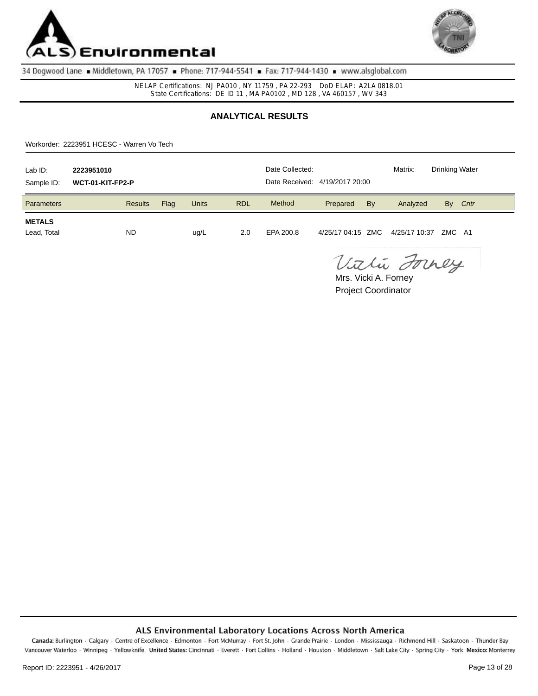



NELAP Certifications: NJ PA010 , NY 11759 , PA 22-293 DoD ELAP: A2LA 0818.01 State Certifications: DE ID 11 , MA PA0102 , MD 128 , VA 460157 , WV 343

# **ANALYTICAL RESULTS**

Workorder: 2223951 HCESC - Warren Vo Tech

| Lab ID:<br>Sample ID:        | 2223951010<br>WCT-01-KIT-FP2-P |      |              |            | Date Collected:<br>Date Received: 4/19/2017 20:00 |          |    | Matrix:                                  | <b>Drinking Water</b> |      |
|------------------------------|--------------------------------|------|--------------|------------|---------------------------------------------------|----------|----|------------------------------------------|-----------------------|------|
| <b>Parameters</b>            | <b>Results</b>                 | Flag | <b>Units</b> | <b>RDL</b> | Method                                            | Prepared | By | Analyzed                                 | By                    | Cntr |
| <b>METALS</b><br>Lead, Total | <b>ND</b>                      |      | ug/L         | 2.0        | EPA 200.8                                         |          |    | 4/25/17 04:15 ZMC  4/25/17 10:37 ZMC  A1 |                       |      |

Vithi Forney

Project Coordinator Mrs. Vicki A. Forney

#### ALS Environmental Laboratory Locations Across North America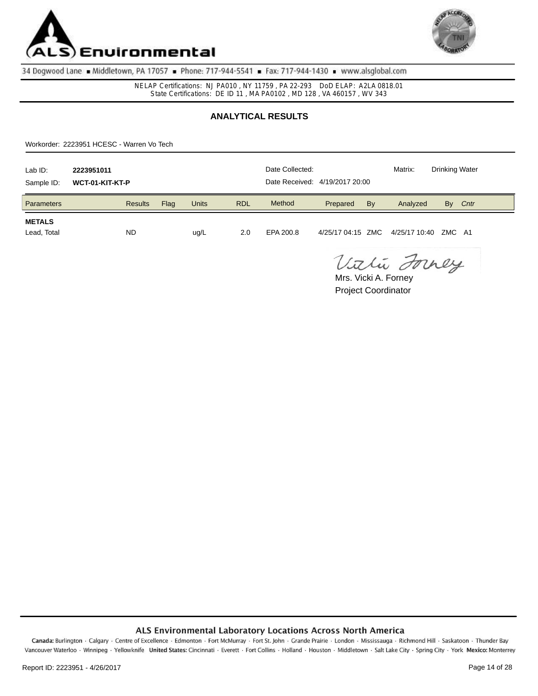



NELAP Certifications: NJ PA010 , NY 11759 , PA 22-293 DoD ELAP: A2LA 0818.01 State Certifications: DE ID 11 , MA PA0102 , MD 128 , VA 460157 , WV 343

# **ANALYTICAL RESULTS**

Workorder: 2223951 HCESC - Warren Vo Tech

| Lab ID:<br>Sample ID:        | 2223951011<br>WCT-01-KIT-KT-P |      | Date Collected:<br>Date Received: 4/19/2017 20:00 |            |           | Matrix:  | <b>Drinking Water</b> |                                        |    |      |
|------------------------------|-------------------------------|------|---------------------------------------------------|------------|-----------|----------|-----------------------|----------------------------------------|----|------|
| <b>Parameters</b>            | <b>Results</b>                | Flag | <b>Units</b>                                      | <b>RDL</b> | Method    | Prepared | By                    | Analyzed                               | By | Cntr |
| <b>METALS</b><br>Lead, Total | <b>ND</b>                     |      | ug/L                                              | 2.0        | EPA 200.8 |          |                       | 4/25/17 04:15 ZMC 4/25/17 10:40 ZMC A1 |    |      |

Vithi Forney

Project Coordinator Mrs. Vicki A. Forney

#### ALS Environmental Laboratory Locations Across North America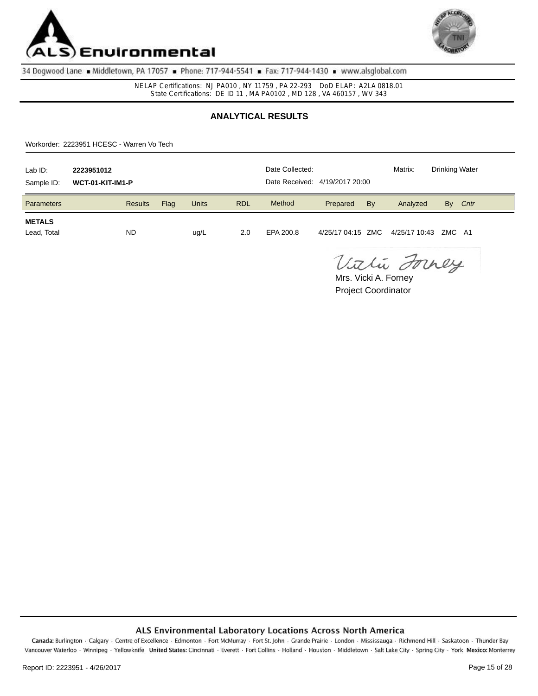



NELAP Certifications: NJ PA010 , NY 11759 , PA 22-293 DoD ELAP: A2LA 0818.01 State Certifications: DE ID 11 , MA PA0102 , MD 128 , VA 460157 , WV 343

# **ANALYTICAL RESULTS**

Workorder: 2223951 HCESC - Warren Vo Tech

| Lab ID:<br>Sample ID:        | 2223951012<br>WCT-01-KIT-IM1-P |      | Date Collected:<br>Date Received: 4/19/2017 20:00 |            |           | Matrix:  | <b>Drinking Water</b> |                                          |    |      |
|------------------------------|--------------------------------|------|---------------------------------------------------|------------|-----------|----------|-----------------------|------------------------------------------|----|------|
| <b>Parameters</b>            | <b>Results</b>                 | Flag | <b>Units</b>                                      | <b>RDL</b> | Method    | Prepared | By                    | Analyzed                                 | By | Cntr |
| <b>METALS</b><br>Lead, Total | <b>ND</b>                      |      | ug/L                                              | 2.0        | EPA 200.8 |          |                       | 4/25/17 04:15 ZMC  4/25/17 10:43 ZMC  A1 |    |      |

Vithi Forney

Project Coordinator Mrs. Vicki A. Forney

#### ALS Environmental Laboratory Locations Across North America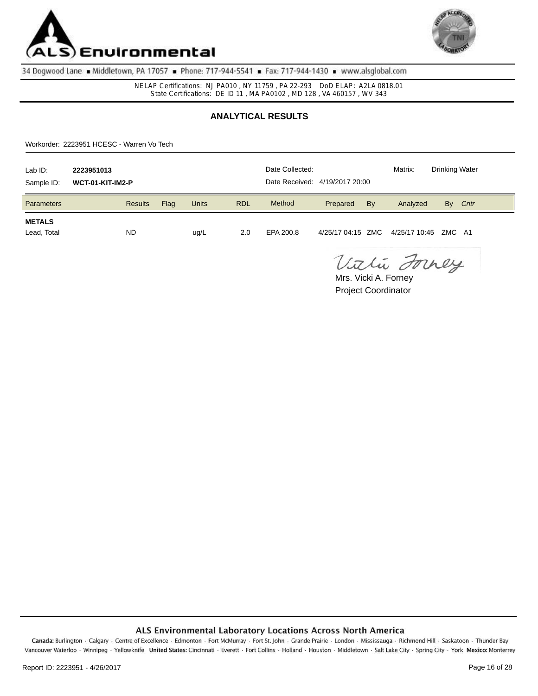



NELAP Certifications: NJ PA010 , NY 11759 , PA 22-293 DoD ELAP: A2LA 0818.01 State Certifications: DE ID 11 , MA PA0102 , MD 128 , VA 460157 , WV 343

# **ANALYTICAL RESULTS**

Workorder: 2223951 HCESC - Warren Vo Tech

| Lab ID:<br>Sample ID:        | 2223951013<br>WCT-01-KIT-IM2-P |      | Date Collected:<br>Date Received: 4/19/2017 20:00 |            |           | Matrix:  | <b>Drinking Water</b> |                                          |    |      |
|------------------------------|--------------------------------|------|---------------------------------------------------|------------|-----------|----------|-----------------------|------------------------------------------|----|------|
| <b>Parameters</b>            | <b>Results</b>                 | Flag | <b>Units</b>                                      | <b>RDL</b> | Method    | Prepared | By                    | Analyzed                                 | By | Cntr |
| <b>METALS</b><br>Lead, Total | <b>ND</b>                      |      | ug/L                                              | 2.0        | EPA 200.8 |          |                       | 4/25/17 04:15 ZMC  4/25/17 10:45 ZMC  A1 |    |      |

Vithi Forney

Project Coordinator Mrs. Vicki A. Forney

#### ALS Environmental Laboratory Locations Across North America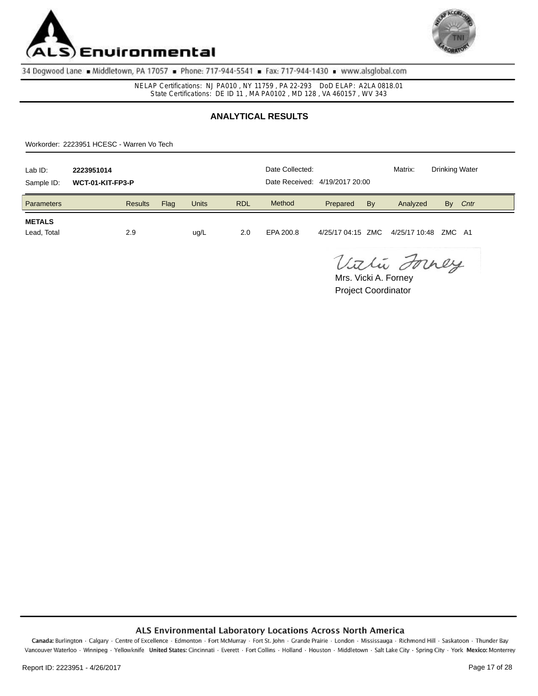



NELAP Certifications: NJ PA010 , NY 11759 , PA 22-293 DoD ELAP: A2LA 0818.01 State Certifications: DE ID 11 , MA PA0102 , MD 128 , VA 460157 , WV 343

# **ANALYTICAL RESULTS**

Workorder: 2223951 HCESC - Warren Vo Tech

| Lab ID:<br>Sample ID:        | 2223951014<br>WCT-01-KIT-FP3-P |      | Date Collected:<br>Date Received: 4/19/2017 20:00 |            |           | Matrix:                                | <b>Drinking Water</b> |          |    |      |
|------------------------------|--------------------------------|------|---------------------------------------------------|------------|-----------|----------------------------------------|-----------------------|----------|----|------|
| <b>Parameters</b>            | <b>Results</b>                 | Flag | <b>Units</b>                                      | <b>RDL</b> | Method    | Prepared                               | By                    | Analyzed | By | Cntr |
| <b>METALS</b><br>Lead, Total | 2.9                            |      | ug/L                                              | 2.0        | EPA 200.8 | 4/25/17 04:15 ZMC 4/25/17 10:48 ZMC A1 |                       |          |    |      |

Vithi Forney

Project Coordinator Mrs. Vicki A. Forney

#### ALS Environmental Laboratory Locations Across North America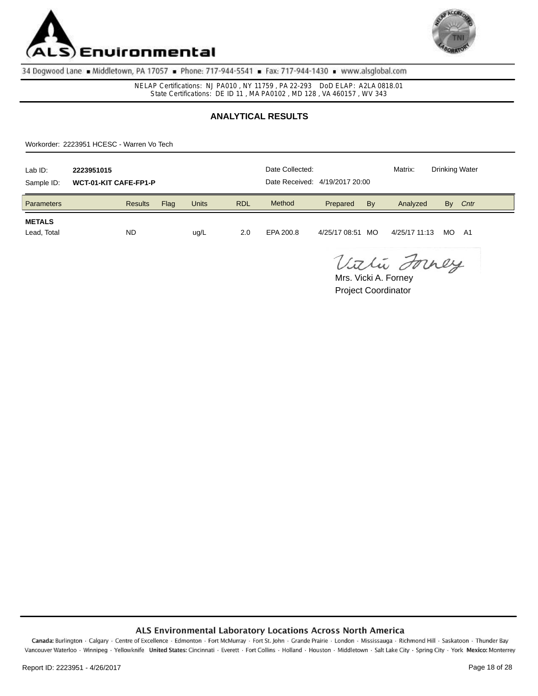



NELAP Certifications: NJ PA010 , NY 11759 , PA 22-293 DoD ELAP: A2LA 0818.01 State Certifications: DE ID 11 , MA PA0102 , MD 128 , VA 460157 , WV 343

# **ANALYTICAL RESULTS**

Workorder: 2223951 HCESC - Warren Vo Tech

| Lab ID:<br>Sample ID:        | 2223951015<br><b>WCT-01-KIT CAFE-FP1-P</b> |      | Date Collected:<br>Date Received: 4/19/2017 20:00 |            |           | Matrix:       | <b>Drinking Water</b> |               |     |      |
|------------------------------|--------------------------------------------|------|---------------------------------------------------|------------|-----------|---------------|-----------------------|---------------|-----|------|
| Parameters                   | <b>Results</b>                             | Flag | <b>Units</b>                                      | <b>RDL</b> | Method    | Prepared      | By                    | Analyzed      | By  | Cntr |
| <b>METALS</b><br>Lead, Total | <b>ND</b>                                  |      | ug/L                                              | 2.0        | EPA 200.8 | 4/25/17 08:51 | MO.                   | 4/25/17 11:13 | MO. | - A1 |

Vithi Forney

Project Coordinator Mrs. Vicki A. Forney

#### ALS Environmental Laboratory Locations Across North America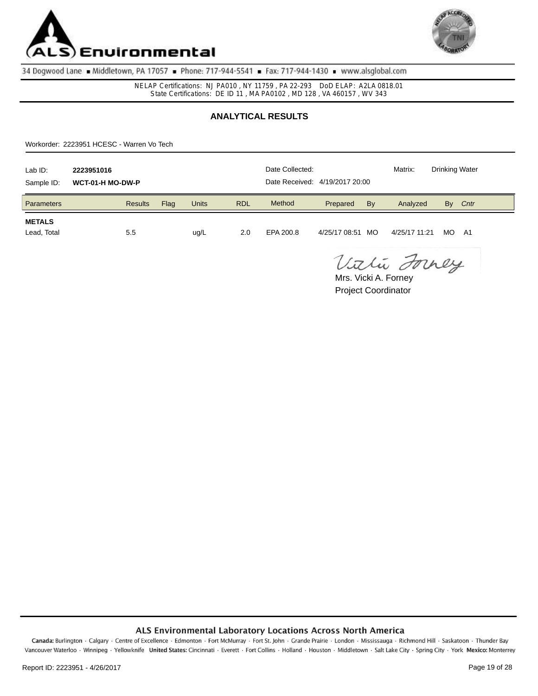



NELAP Certifications: NJ PA010 , NY 11759 , PA 22-293 DoD ELAP: A2LA 0818.01 State Certifications: DE ID 11 , MA PA0102 , MD 128 , VA 460157 , WV 343

# **ANALYTICAL RESULTS**

Workorder: 2223951 HCESC - Warren Vo Tech

| Lab ID:<br>Sample ID:        | 2223951016<br>WCT-01-H MO-DW-P |      | Date Collected:<br>Date Received: 4/19/2017 20:00 |            |           | Matrix:       | <b>Drinking Water</b> |               |     |      |
|------------------------------|--------------------------------|------|---------------------------------------------------|------------|-----------|---------------|-----------------------|---------------|-----|------|
| Parameters                   | <b>Results</b>                 | Flag | <b>Units</b>                                      | <b>RDL</b> | Method    | Prepared      | By                    | Analyzed      | By  | Cntr |
| <b>METALS</b><br>Lead, Total | 5.5                            |      | ug/L                                              | 2.0        | EPA 200.8 | 4/25/17 08:51 | MO.                   | 4/25/17 11:21 | MO. | - A1 |

Vithi Forney

Project Coordinator Mrs. Vicki A. Forney

#### ALS Environmental Laboratory Locations Across North America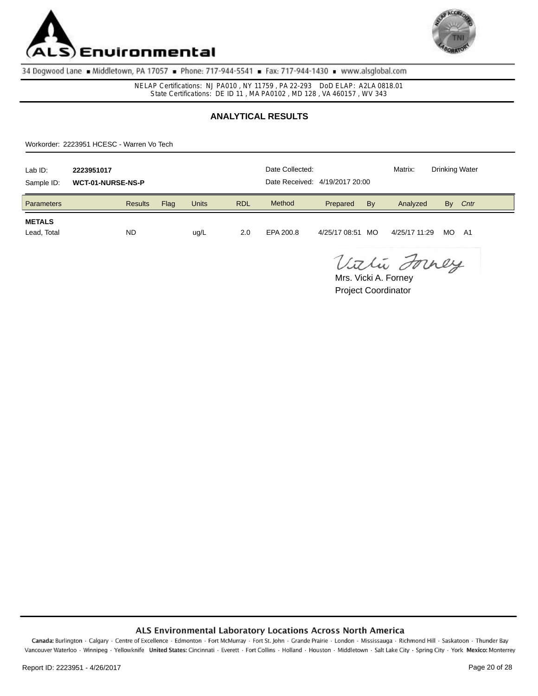



NELAP Certifications: NJ PA010 , NY 11759 , PA 22-293 DoD ELAP: A2LA 0818.01 State Certifications: DE ID 11 , MA PA0102 , MD 128 , VA 460157 , WV 343

# **ANALYTICAL RESULTS**

Workorder: 2223951 HCESC - Warren Vo Tech

| Lab ID:<br>Sample ID:        | 2223951017<br><b>WCT-01-NURSE-NS-P</b> |      | Date Collected:<br>Date Received: 4/19/2017 20:00 |            |           | Matrix:       | <b>Drinking Water</b> |               |     |      |
|------------------------------|----------------------------------------|------|---------------------------------------------------|------------|-----------|---------------|-----------------------|---------------|-----|------|
| <b>Parameters</b>            | <b>Results</b>                         | Flag | <b>Units</b>                                      | <b>RDL</b> | Method    | Prepared      | By                    | Analyzed      | By  | Cntr |
| <b>METALS</b><br>Lead, Total | <b>ND</b>                              |      | ug/L                                              | 2.0        | EPA 200.8 | 4/25/17 08:51 | MO                    | 4/25/17 11:29 | MO. | - A1 |

Vithi Forney

Project Coordinator Mrs. Vicki A. Forney

### ALS Environmental Laboratory Locations Across North America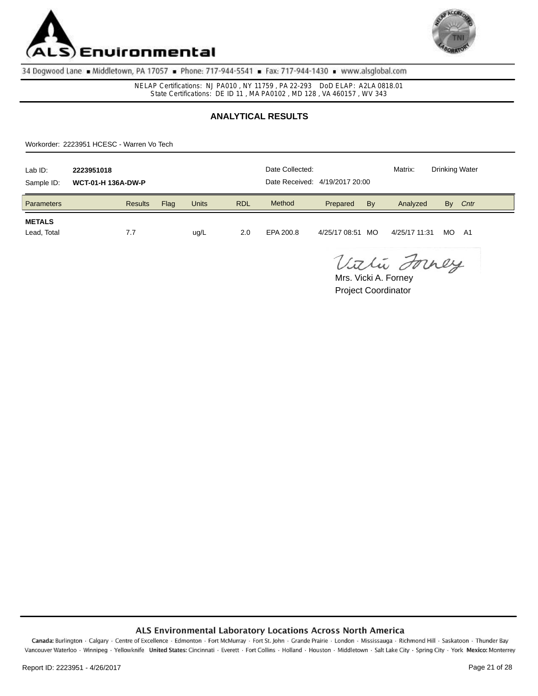



NELAP Certifications: NJ PA010 , NY 11759 , PA 22-293 DoD ELAP: A2LA 0818.01 State Certifications: DE ID 11 , MA PA0102 , MD 128 , VA 460157 , WV 343

# **ANALYTICAL RESULTS**

Workorder: 2223951 HCESC - Warren Vo Tech

| Lab ID:<br>Sample ID:        | 2223951018<br><b>WCT-01-H 136A-DW-P</b> |      | Date Collected:<br>Date Received: 4/19/2017 20:00 |            |           | Matrix:       | <b>Drinking Water</b> |               |     |      |
|------------------------------|-----------------------------------------|------|---------------------------------------------------|------------|-----------|---------------|-----------------------|---------------|-----|------|
| Parameters                   | <b>Results</b>                          | Flag | <b>Units</b>                                      | <b>RDL</b> | Method    | Prepared      | By                    | Analyzed      | By  | Cntr |
| <b>METALS</b><br>Lead, Total | 7.7                                     |      | ug/L                                              | 2.0        | EPA 200.8 | 4/25/17 08:51 | MO.                   | 4/25/17 11:31 | MO. | - A1 |

Vithi Forney

Project Coordinator Mrs. Vicki A. Forney

#### ALS Environmental Laboratory Locations Across North America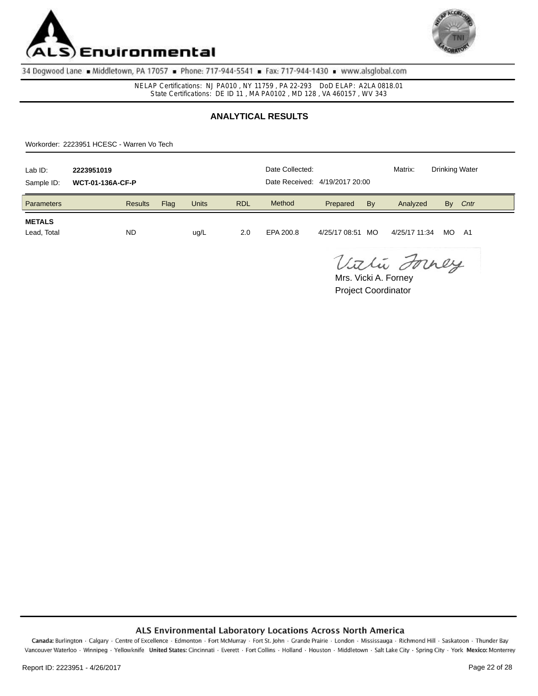



NELAP Certifications: NJ PA010 , NY 11759 , PA 22-293 DoD ELAP: A2LA 0818.01 State Certifications: DE ID 11 , MA PA0102 , MD 128 , VA 460157 , WV 343

# **ANALYTICAL RESULTS**

Workorder: 2223951 HCESC - Warren Vo Tech

| Lab ID:<br>Sample ID:        | 2223951019<br><b>WCT-01-136A-CF-P</b> |      | Date Collected:<br>Date Received: 4/19/2017 20:00 |            |           | Matrix:       | <b>Drinking Water</b> |               |     |      |
|------------------------------|---------------------------------------|------|---------------------------------------------------|------------|-----------|---------------|-----------------------|---------------|-----|------|
| Parameters                   | <b>Results</b>                        | Flag | <b>Units</b>                                      | <b>RDL</b> | Method    | Prepared      | By                    | Analyzed      | By  | Cntr |
| <b>METALS</b><br>Lead, Total | <b>ND</b>                             |      | ug/L                                              | 2.0        | EPA 200.8 | 4/25/17 08:51 | MO.                   | 4/25/17 11:34 | MO. | - A1 |

Vithi Forney

Project Coordinator Mrs. Vicki A. Forney

#### ALS Environmental Laboratory Locations Across North America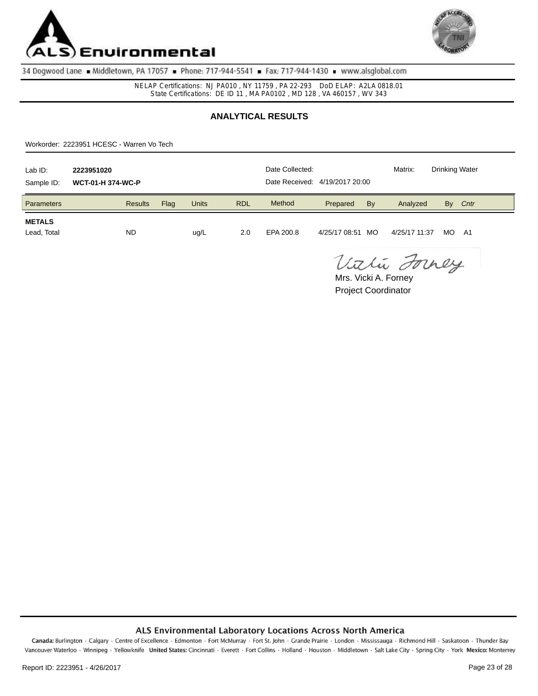



NELAP Certifications: NJ PA010 , NY 11759 , PA 22-293 DoD ELAP: A2LA 0818.01 State Certifications: DE ID 11 , MA PA0102 , MD 128 , VA 460157 , WV 343

# **ANALYTICAL RESULTS**

Workorder: 2223951 HCESC - Warren Vo Tech

| Lab ID:<br>Sample ID:        | 2223951020<br><b>WCT-01-H 374-WC-P</b> |      | Date Collected:<br>Date Received: 4/19/2017 20:00 |            |           | Matrix:       | <b>Drinking Water</b> |               |     |      |
|------------------------------|----------------------------------------|------|---------------------------------------------------|------------|-----------|---------------|-----------------------|---------------|-----|------|
| Parameters                   | <b>Results</b>                         | Flag | <b>Units</b>                                      | <b>RDL</b> | Method    | Prepared      | By                    | Analyzed      | By  | Cntr |
| <b>METALS</b><br>Lead, Total | <b>ND</b>                              |      | ug/L                                              | 2.0        | EPA 200.8 | 4/25/17 08:51 | MO.                   | 4/25/17 11:37 | MO. | - A1 |

Vithi Forney

Project Coordinator Mrs. Vicki A. Forney

### ALS Environmental Laboratory Locations Across North America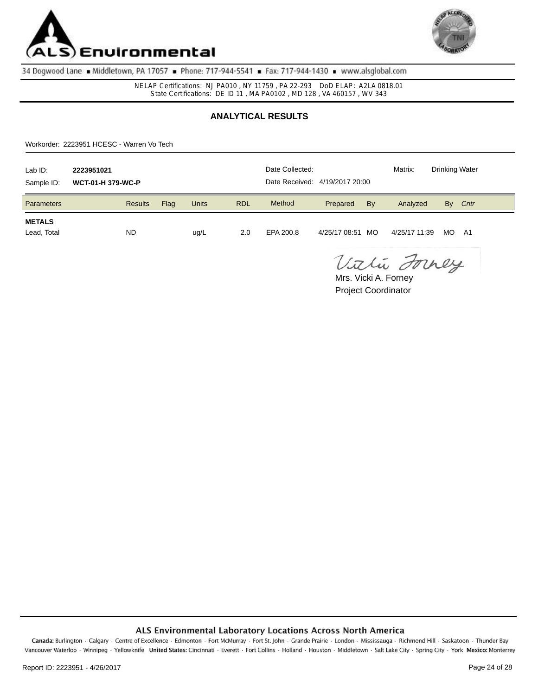



NELAP Certifications: NJ PA010 , NY 11759 , PA 22-293 DoD ELAP: A2LA 0818.01 State Certifications: DE ID 11 , MA PA0102 , MD 128 , VA 460157 , WV 343

# **ANALYTICAL RESULTS**

Workorder: 2223951 HCESC - Warren Vo Tech

| Lab ID:<br>Sample ID:        | 2223951021<br><b>WCT-01-H 379-WC-P</b> |      | Date Collected:<br>Date Received: 4/19/2017 20:00 |            |           | Matrix:       | <b>Drinking Water</b> |               |     |      |
|------------------------------|----------------------------------------|------|---------------------------------------------------|------------|-----------|---------------|-----------------------|---------------|-----|------|
| <b>Parameters</b>            | <b>Results</b>                         | Flag | <b>Units</b>                                      | <b>RDL</b> | Method    | Prepared      | By                    | Analyzed      | By  | Cntr |
| <b>METALS</b><br>Lead, Total | <b>ND</b>                              |      | ug/L                                              | 2.0        | EPA 200.8 | 4/25/17 08:51 | MO                    | 4/25/17 11:39 | MO. | - A1 |

Vithi Forney

Project Coordinator Mrs. Vicki A. Forney

#### ALS Environmental Laboratory Locations Across North America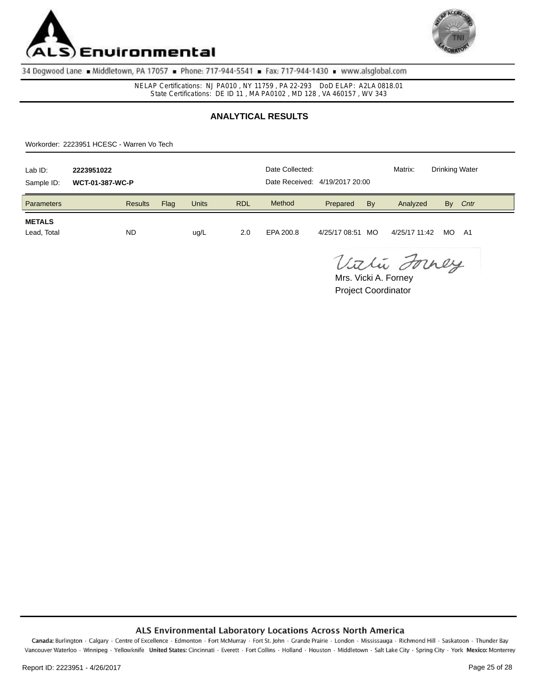



NELAP Certifications: NJ PA010 , NY 11759 , PA 22-293 DoD ELAP: A2LA 0818.01 State Certifications: DE ID 11 , MA PA0102 , MD 128 , VA 460157 , WV 343

# **ANALYTICAL RESULTS**

Workorder: 2223951 HCESC - Warren Vo Tech

| Lab ID:<br>Sample ID:        | 2223951022<br><b>WCT-01-387-WC-P</b> |      | Date Collected:<br>Date Received: 4/19/2017 20:00 |            |           | Matrix:       | <b>Drinking Water</b> |               |     |      |
|------------------------------|--------------------------------------|------|---------------------------------------------------|------------|-----------|---------------|-----------------------|---------------|-----|------|
| Parameters                   | <b>Results</b>                       | Flag | <b>Units</b>                                      | <b>RDL</b> | Method    | Prepared      | By                    | Analyzed      | By  | Cntr |
| <b>METALS</b><br>Lead, Total | <b>ND</b>                            |      | ug/L                                              | 2.0        | EPA 200.8 | 4/25/17 08:51 | MO                    | 4/25/17 11:42 | MO. | - A1 |

Vithi Forney

Project Coordinator Mrs. Vicki A. Forney

#### ALS Environmental Laboratory Locations Across North America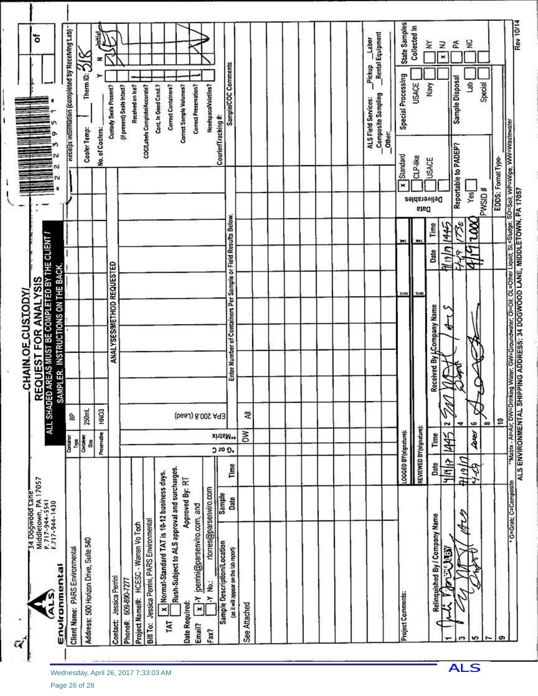| State Samples<br>Collected In<br>Receipt information (completed by Receiving Lab)<br>Rental Equipment<br>nitial<br>Labor<br>¥<br>≩<br>ã<br>Ξ<br>Therm ID: $2/8$<br>×<br>Sample/COC Comments<br>Pickup<br>Special Processing<br>Sample Disposal<br>đ<br>Special<br><b>USACE</b><br>Navy<br>Headspace/Volatiles?<br>Correct Preservation?<br>Cont. In Good Cond.?<br>Correct Containers?<br>Correct Sample Volumes?<br><b>Custody Seals Present?</b><br>(if present) Seals Intact?<br>Received on Ice?<br>COCILabels Complete/Accurate?<br>Composite Sampling<br>ALS Field Services:<br>Courier/Tracking#:<br>Cooler Temp:<br>No. of Coolers:<br>Other.<br>Reportable to PADEP?<br>Standard<br>CLP-like<br>USACE<br>EDDS: Format Type-<br>×<br>PWSID#<br>Yes<br>Deliverables<br>pata<br>Enter Number of Containers Per Sample or Field Results Below.<br>1736<br>XX.<br>1445<br>Time<br>REQUEST FOR ANALYSIS<br>ALLSHAREASMUSTEROMPLEDENTIECHENT<br>Mnm<br>$\mathbf{I}$<br>Date<br>$\frac{6}{3}$<br>ANALYSESIMETHOD REQUESTED<br>ᢖ<br>IMPLER. INSTRUCTIONS ON THE BACK<br>3190<br><b>CATE</b><br>Received By ACompany Name<br>P.<br>q<br>5<br>HNO <sub>3</sub><br>250mL<br>₹<br>EPA 200.8 (Lead)<br>욺<br>\$<br>6<br>$\infty$<br>$\tilde{ }$<br>4<br>REVIEWED BY(signature):<br>LOGGED BY(signature):<br>Š<br>Dres<br>Preservativo<br>445<br>xhtsM**<br>Time<br>Container<br>Container<br>퇵<br>Slm<br><b>O</b> 10 0.<br>ulsity<br>세사<br>Date<br>Time<br>Rush-Subject to ALS approval and surcharges.<br>x  Normal-Standard TAT is 10-12 business days.<br>Middletown, PA 17057<br>P. 717-944-5541<br>F.717-944-1430<br>Approved By: RT<br>rtorres@parsenviro.com<br>Sample<br>Date<br>$\overline{x}$   Y jperrini@parsenviro.com, and<br>s<br>Relinquished By / Company Name<br>Sample Description/Location<br><b>OREN</b><br>(as it will appear on the lab report)<br>Environmental<br>ŗ,<br>Jessica Perrini<br>609-890-7277<br>$-Y$ No.:<br>TAT<br>e<br>u,<br>ຕ | 34 Dogwood Lane |  | CHAIN OF CUSTODY |  | ៵ |
|----------------------------------------------------------------------------------------------------------------------------------------------------------------------------------------------------------------------------------------------------------------------------------------------------------------------------------------------------------------------------------------------------------------------------------------------------------------------------------------------------------------------------------------------------------------------------------------------------------------------------------------------------------------------------------------------------------------------------------------------------------------------------------------------------------------------------------------------------------------------------------------------------------------------------------------------------------------------------------------------------------------------------------------------------------------------------------------------------------------------------------------------------------------------------------------------------------------------------------------------------------------------------------------------------------------------------------------------------------------------------------------------------------------------------------------------------------------------------------------------------------------------------------------------------------------------------------------------------------------------------------------------------------------------------------------------------------------------------------------------------------------------------------------------------------------------------------------------------------------------------------------------------------------------------------------------------------------|-----------------|--|------------------|--|---|
| Bill To: Jessica Perrini, PARS Environmental<br>Project Name#: HCESC - Warren Vo Tech<br>Address: 500 Horizon Drive, Suite 540<br>Client Name: PARS Environmental<br><b>Project Comments:</b><br>Date Required:<br>See Attached<br><b>Contact:</b><br>Phone#:<br>Email?<br>Fax?                                                                                                                                                                                                                                                                                                                                                                                                                                                                                                                                                                                                                                                                                                                                                                                                                                                                                                                                                                                                                                                                                                                                                                                                                                                                                                                                                                                                                                                                                                                                                                                                                                                                                |                 |  |                  |  |   |
|                                                                                                                                                                                                                                                                                                                                                                                                                                                                                                                                                                                                                                                                                                                                                                                                                                                                                                                                                                                                                                                                                                                                                                                                                                                                                                                                                                                                                                                                                                                                                                                                                                                                                                                                                                                                                                                                                                                                                                |                 |  |                  |  |   |
|                                                                                                                                                                                                                                                                                                                                                                                                                                                                                                                                                                                                                                                                                                                                                                                                                                                                                                                                                                                                                                                                                                                                                                                                                                                                                                                                                                                                                                                                                                                                                                                                                                                                                                                                                                                                                                                                                                                                                                |                 |  |                  |  |   |
|                                                                                                                                                                                                                                                                                                                                                                                                                                                                                                                                                                                                                                                                                                                                                                                                                                                                                                                                                                                                                                                                                                                                                                                                                                                                                                                                                                                                                                                                                                                                                                                                                                                                                                                                                                                                                                                                                                                                                                |                 |  |                  |  |   |
|                                                                                                                                                                                                                                                                                                                                                                                                                                                                                                                                                                                                                                                                                                                                                                                                                                                                                                                                                                                                                                                                                                                                                                                                                                                                                                                                                                                                                                                                                                                                                                                                                                                                                                                                                                                                                                                                                                                                                                |                 |  |                  |  |   |
|                                                                                                                                                                                                                                                                                                                                                                                                                                                                                                                                                                                                                                                                                                                                                                                                                                                                                                                                                                                                                                                                                                                                                                                                                                                                                                                                                                                                                                                                                                                                                                                                                                                                                                                                                                                                                                                                                                                                                                |                 |  |                  |  |   |
|                                                                                                                                                                                                                                                                                                                                                                                                                                                                                                                                                                                                                                                                                                                                                                                                                                                                                                                                                                                                                                                                                                                                                                                                                                                                                                                                                                                                                                                                                                                                                                                                                                                                                                                                                                                                                                                                                                                                                                |                 |  |                  |  |   |
|                                                                                                                                                                                                                                                                                                                                                                                                                                                                                                                                                                                                                                                                                                                                                                                                                                                                                                                                                                                                                                                                                                                                                                                                                                                                                                                                                                                                                                                                                                                                                                                                                                                                                                                                                                                                                                                                                                                                                                |                 |  |                  |  |   |
|                                                                                                                                                                                                                                                                                                                                                                                                                                                                                                                                                                                                                                                                                                                                                                                                                                                                                                                                                                                                                                                                                                                                                                                                                                                                                                                                                                                                                                                                                                                                                                                                                                                                                                                                                                                                                                                                                                                                                                |                 |  |                  |  |   |
|                                                                                                                                                                                                                                                                                                                                                                                                                                                                                                                                                                                                                                                                                                                                                                                                                                                                                                                                                                                                                                                                                                                                                                                                                                                                                                                                                                                                                                                                                                                                                                                                                                                                                                                                                                                                                                                                                                                                                                |                 |  |                  |  |   |
|                                                                                                                                                                                                                                                                                                                                                                                                                                                                                                                                                                                                                                                                                                                                                                                                                                                                                                                                                                                                                                                                                                                                                                                                                                                                                                                                                                                                                                                                                                                                                                                                                                                                                                                                                                                                                                                                                                                                                                |                 |  |                  |  |   |
|                                                                                                                                                                                                                                                                                                                                                                                                                                                                                                                                                                                                                                                                                                                                                                                                                                                                                                                                                                                                                                                                                                                                                                                                                                                                                                                                                                                                                                                                                                                                                                                                                                                                                                                                                                                                                                                                                                                                                                |                 |  |                  |  |   |
|                                                                                                                                                                                                                                                                                                                                                                                                                                                                                                                                                                                                                                                                                                                                                                                                                                                                                                                                                                                                                                                                                                                                                                                                                                                                                                                                                                                                                                                                                                                                                                                                                                                                                                                                                                                                                                                                                                                                                                |                 |  |                  |  |   |
|                                                                                                                                                                                                                                                                                                                                                                                                                                                                                                                                                                                                                                                                                                                                                                                                                                                                                                                                                                                                                                                                                                                                                                                                                                                                                                                                                                                                                                                                                                                                                                                                                                                                                                                                                                                                                                                                                                                                                                |                 |  |                  |  |   |
|                                                                                                                                                                                                                                                                                                                                                                                                                                                                                                                                                                                                                                                                                                                                                                                                                                                                                                                                                                                                                                                                                                                                                                                                                                                                                                                                                                                                                                                                                                                                                                                                                                                                                                                                                                                                                                                                                                                                                                |                 |  |                  |  |   |
|                                                                                                                                                                                                                                                                                                                                                                                                                                                                                                                                                                                                                                                                                                                                                                                                                                                                                                                                                                                                                                                                                                                                                                                                                                                                                                                                                                                                                                                                                                                                                                                                                                                                                                                                                                                                                                                                                                                                                                |                 |  |                  |  |   |
|                                                                                                                                                                                                                                                                                                                                                                                                                                                                                                                                                                                                                                                                                                                                                                                                                                                                                                                                                                                                                                                                                                                                                                                                                                                                                                                                                                                                                                                                                                                                                                                                                                                                                                                                                                                                                                                                                                                                                                |                 |  |                  |  |   |
|                                                                                                                                                                                                                                                                                                                                                                                                                                                                                                                                                                                                                                                                                                                                                                                                                                                                                                                                                                                                                                                                                                                                                                                                                                                                                                                                                                                                                                                                                                                                                                                                                                                                                                                                                                                                                                                                                                                                                                |                 |  |                  |  |   |
|                                                                                                                                                                                                                                                                                                                                                                                                                                                                                                                                                                                                                                                                                                                                                                                                                                                                                                                                                                                                                                                                                                                                                                                                                                                                                                                                                                                                                                                                                                                                                                                                                                                                                                                                                                                                                                                                                                                                                                |                 |  |                  |  |   |
|                                                                                                                                                                                                                                                                                                                                                                                                                                                                                                                                                                                                                                                                                                                                                                                                                                                                                                                                                                                                                                                                                                                                                                                                                                                                                                                                                                                                                                                                                                                                                                                                                                                                                                                                                                                                                                                                                                                                                                |                 |  |                  |  |   |
|                                                                                                                                                                                                                                                                                                                                                                                                                                                                                                                                                                                                                                                                                                                                                                                                                                                                                                                                                                                                                                                                                                                                                                                                                                                                                                                                                                                                                                                                                                                                                                                                                                                                                                                                                                                                                                                                                                                                                                |                 |  |                  |  |   |
|                                                                                                                                                                                                                                                                                                                                                                                                                                                                                                                                                                                                                                                                                                                                                                                                                                                                                                                                                                                                                                                                                                                                                                                                                                                                                                                                                                                                                                                                                                                                                                                                                                                                                                                                                                                                                                                                                                                                                                |                 |  |                  |  |   |
|                                                                                                                                                                                                                                                                                                                                                                                                                                                                                                                                                                                                                                                                                                                                                                                                                                                                                                                                                                                                                                                                                                                                                                                                                                                                                                                                                                                                                                                                                                                                                                                                                                                                                                                                                                                                                                                                                                                                                                |                 |  |                  |  |   |
|                                                                                                                                                                                                                                                                                                                                                                                                                                                                                                                                                                                                                                                                                                                                                                                                                                                                                                                                                                                                                                                                                                                                                                                                                                                                                                                                                                                                                                                                                                                                                                                                                                                                                                                                                                                                                                                                                                                                                                |                 |  |                  |  |   |
|                                                                                                                                                                                                                                                                                                                                                                                                                                                                                                                                                                                                                                                                                                                                                                                                                                                                                                                                                                                                                                                                                                                                                                                                                                                                                                                                                                                                                                                                                                                                                                                                                                                                                                                                                                                                                                                                                                                                                                |                 |  |                  |  |   |
|                                                                                                                                                                                                                                                                                                                                                                                                                                                                                                                                                                                                                                                                                                                                                                                                                                                                                                                                                                                                                                                                                                                                                                                                                                                                                                                                                                                                                                                                                                                                                                                                                                                                                                                                                                                                                                                                                                                                                                |                 |  |                  |  |   |
|                                                                                                                                                                                                                                                                                                                                                                                                                                                                                                                                                                                                                                                                                                                                                                                                                                                                                                                                                                                                                                                                                                                                                                                                                                                                                                                                                                                                                                                                                                                                                                                                                                                                                                                                                                                                                                                                                                                                                                |                 |  |                  |  |   |
|                                                                                                                                                                                                                                                                                                                                                                                                                                                                                                                                                                                                                                                                                                                                                                                                                                                                                                                                                                                                                                                                                                                                                                                                                                                                                                                                                                                                                                                                                                                                                                                                                                                                                                                                                                                                                                                                                                                                                                |                 |  |                  |  |   |
|                                                                                                                                                                                                                                                                                                                                                                                                                                                                                                                                                                                                                                                                                                                                                                                                                                                                                                                                                                                                                                                                                                                                                                                                                                                                                                                                                                                                                                                                                                                                                                                                                                                                                                                                                                                                                                                                                                                                                                |                 |  |                  |  |   |

**ALS**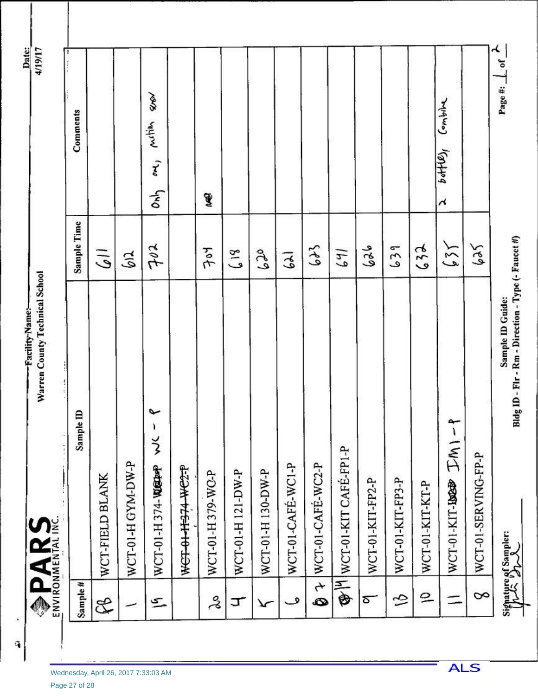|                                                | <b>PARS</b>                      |                                                                        |                                      |
|------------------------------------------------|----------------------------------|------------------------------------------------------------------------|--------------------------------------|
| Sample#                                        | Sample ID                        | Sample Time                                                            | Comments                             |
| E                                              | WCT-FIELD BLANK                  | $\bar{5}$                                                              |                                      |
|                                                | WCT-01-H GYM-DW-P                | $\mathfrak{F}$                                                         |                                      |
| $\sum$                                         | پ<br>ı<br>ž<br>WCT-01-H374-WEEPP | 702                                                                    | A<br>mitim<br>رسم<br>ልት              |
|                                                | WCT-01-1974 WC2-P                |                                                                        |                                      |
| ತ್ತೆ                                           | WCT-01-H379-WC-P                 | 704                                                                    | J                                    |
| ᠴ                                              | WCT-01-H 121-DW-P                | 618                                                                    |                                      |
| ᠷ                                              | WCT-01-H130-DW-P                 | $c\,c\,9$                                                              |                                      |
| ڡ                                              | WCT-01-CAFE-WC1-P                | $\overline{\mathcal{E}}$                                               |                                      |
| $\begin{array}{c} \star \ \bullet \end{array}$ | WCT-01-CAFE-WC2-P                | $6+3$                                                                  |                                      |
|                                                | <b>@HWCT-01-KIT CAFÉ-FP1-P</b>   | 141                                                                    |                                      |
| ఠా                                             | WCT-01-KIT-FP2-P                 | محم                                                                    |                                      |
| S                                              | WCT-01-KIT-FP3-P                 | 639                                                                    |                                      |
| $\overline{P}$                                 | WCT-01-KIT-KT-P                  | 632                                                                    |                                      |
|                                                |                                  | 154                                                                    | Combin<br>$b$ of $f(x)$<br>$\lambda$ |
| 8                                              | WCT-01-SERVING-FP-P              | 504                                                                    |                                      |
|                                                | Signature of Sampler:            | Bldg ID - Flr - Rm - Direction - Type (- Faucet #)<br>Sample ID Guide: | $\frac{1}{2}$<br>Page #:             |

**ALS** 

٩